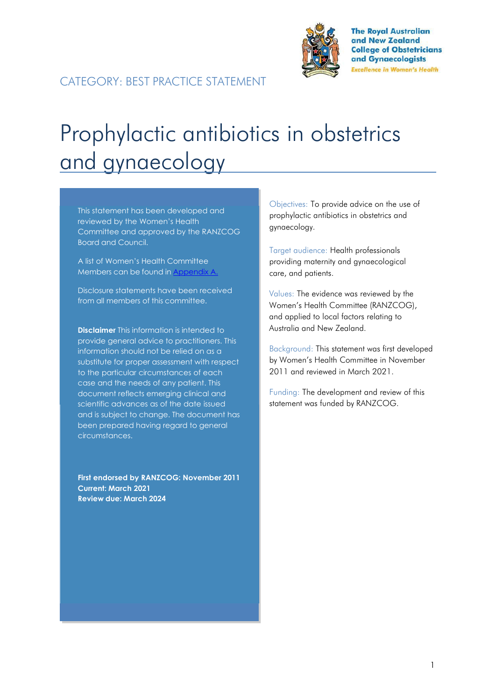

**The Royal Australian** and New Zealand **College of Obstetricians** and Gynaecologists **Excellence in Women's Health** 

# Prophylactic antibiotics in obstetrics and gynaecology

This statement has been developed and reviewed by the Women's Health Committee and approved by the RANZCOG Board and Council.

A list of Women's Health Committee Members can be found in Appendix A.

Disclosure statements have been received from all members of this committee.

**Disclaimer** This information is intended to provide general advice to practitioners. This information should not be relied on as a substitute for proper assessment with respect to the particular circumstances of each case and the needs of any patient. This document reflects emerging clinical and scientific advances as of the date issued and is subject to change. The document has been prepared having regard to general circumstances.

**First endorsed by RANZCOG: November 2011 Current: March 2021 Review due: March 2024**

Objectives: To provide advice on the use of prophylactic antibiotics in obstetrics and gynaecology.

Target audience: Health professionals providing maternity and gynaecological care, and patients.

Values: The evidence was reviewed by the Women's Health Committee (RANZCOG), and applied to local factors relating to Australia and New Zealand.

Background: This statement was first developed by Women's Health Committee in November 2011 and reviewed in March 2021.

Funding: The development and review of this statement was funded by RANZCOG.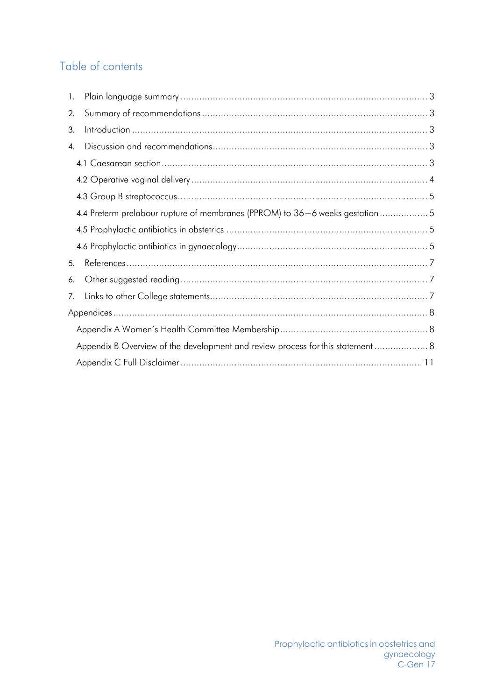# Table of contents

| 1. |                                                                                |  |  |  |  |
|----|--------------------------------------------------------------------------------|--|--|--|--|
| 2. |                                                                                |  |  |  |  |
| 3. |                                                                                |  |  |  |  |
| 4. |                                                                                |  |  |  |  |
|    |                                                                                |  |  |  |  |
|    |                                                                                |  |  |  |  |
|    |                                                                                |  |  |  |  |
|    | 4.4 Preterm prelabour rupture of membranes (PPROM) to 36+6 weeks gestation5    |  |  |  |  |
|    |                                                                                |  |  |  |  |
|    |                                                                                |  |  |  |  |
| 5. |                                                                                |  |  |  |  |
| 6. |                                                                                |  |  |  |  |
| 7. |                                                                                |  |  |  |  |
|    |                                                                                |  |  |  |  |
|    |                                                                                |  |  |  |  |
|    | Appendix B Overview of the development and review process for this statement 8 |  |  |  |  |
|    |                                                                                |  |  |  |  |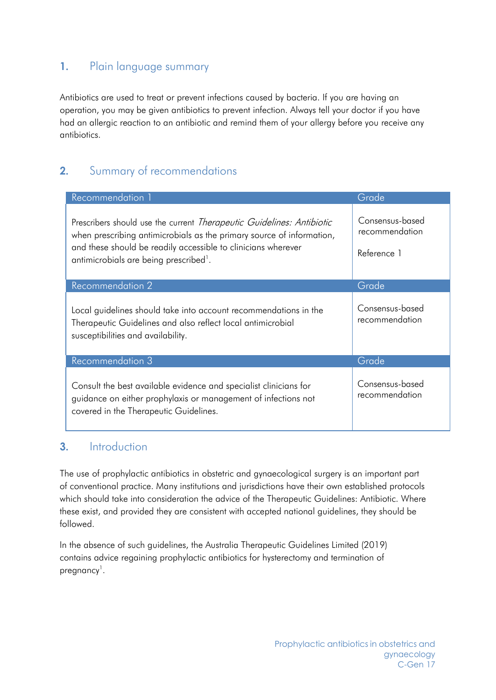# <span id="page-2-0"></span>**1.** Plain language summary

Antibiotics are used to treat or prevent infections caused by bacteria. If you are having an operation, you may be given antibiotics to prevent infection. Always tell your doctor if you have had an allergic reaction to an antibiotic and remind them of your allergy before you receive any antibiotics.

# <span id="page-2-1"></span>**2.** Summary of recommendations

| Recommendation 1                                                                                                                                                                                                                                         | Grade                                            |
|----------------------------------------------------------------------------------------------------------------------------------------------------------------------------------------------------------------------------------------------------------|--------------------------------------------------|
| Prescribers should use the current Therapeutic Guidelines: Antibiotic<br>when prescribing antimicrobials as the primary source of information,<br>and these should be readily accessible to clinicians wherever<br>antimicrobials are being prescribed'. | Consensus-based<br>recommendation<br>Reference 1 |
| Recommendation <sub>2</sub>                                                                                                                                                                                                                              | Grade                                            |
| Local guidelines should take into account recommendations in the<br>Therapeutic Guidelines and also reflect local antimicrobial<br>susceptibilities and availability.                                                                                    | Consensus-based<br>recommendation                |
| <b>Recommendation 3</b>                                                                                                                                                                                                                                  | Grade                                            |
| Consult the best available evidence and specialist clinicians for<br>guidance on either prophylaxis or management of infections not<br>covered in the Therapeutic Guidelines.                                                                            | Consensus-based<br>recommendation                |

# <span id="page-2-2"></span>**3.** Introduction

The use of prophylactic antibiotics in obstetric and gynaecological surgery is an important part of conventional practice. Many institutions and jurisdictions have their own established protocols which should take into consideration the advice of the Therapeutic Guidelines: Antibiotic. Where these exist, and provided they are consistent with accepted national guidelines, they should be followed.

In the absence of such guidelines, the Australia Therapeutic Guidelines Limited (2019) contains advice regaining prophylactic antibiotics for hysterectomy and termination of pregnancy<sup>1</sup>.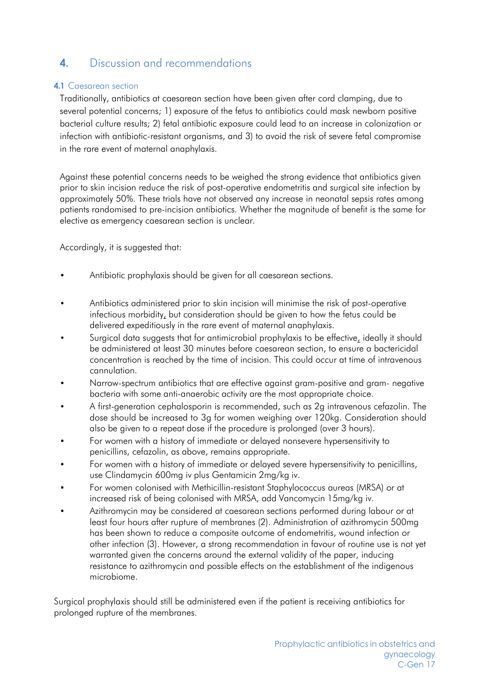# <span id="page-3-0"></span>**4.** Discussion and recommendations

## **4.1** Caesarean section

Traditionally, antibiotics at caesarean section have been given after cord clamping, due to several potential concerns; 1) exposure of the fetus to antibiotics could mask newborn positive bacterial culture results; 2) fetal antibiotic exposure could lead to an increase in colonization or infection with antibiotic-resistant organisms, and 3) to avoid the risk of severe fetal compromise in the rare event of maternal anaphylaxis.

Against these potential concerns needs to be weighed the strong evidence that antibiotics given prior to skin incision reduce the risk of post-operative endometritis and surgical site infection by approximately 50%. These trials have not observed any increase in neonatal sepsis rates among patients randomised to pre-incision antibiotics. Whether the magnitude of benefit is the same for elective as emergency caesarean section is unclear.

Accordingly, it is suggested that:

- Antibiotic prophylaxis should be given for all caesarean sections.
- Antibiotics administered prior to skin incision will minimise the risk of post-operative infectious morbidity, but consideration should be given to how the fetus could be delivered expeditiously in the rare event of maternal anaphylaxis.
- Surgical data suggests that for antimicrobial prophylaxis to be effective, ideally it should be administered at least 30 minutes before caesarean section, to ensure a bactericidal concentration is reached by the time of incision. This could occur at time of intravenous cannulation.
- Narrow-spectrum antibiotics that are effective against gram-positive and gram- negative bacteria with some anti-anaerobic activity are the most appropriate choice.
- A first-generation cephalosporin is recommended, such as 2g intravenous cefazolin. The dose should be increased to 3g for women weighing over 120kg. Consideration should also be given to a repeat dose if the procedure is prolonged (over 3 hours).
- For women with a history of immediate or delayed nonsevere hypersensitivity to penicillins, cefazolin, as above, remains appropriate.
- For women with a history of immediate or delayed severe hypersensitivity to penicillins, use Clindamycin 600mg iv plus Gentamicin 2mg/kg iv.
- For women colonised with Methicillin-resistant Staphylococcus aureas (MRSA) or at increased risk of being colonised with MRSA, add Vancomycin 15mg/kg iv.
- Azithromycin may be considered at caesarean sections performed during labour or at least four hours after rupture of membranes (2). Administration of azithromycin 500mg has been shown to reduce a composite outcome of endometritis, wound infection or other infection (3). However, a strong recommendation in favour of routine use is not yet warranted given the concerns around the external validity of the paper, inducing resistance to azithromycin and possible effects on the establishment of the indigenous microbiome.

Surgical prophylaxis should still be administered even if the patient is receiving antibiotics for prolonged rupture of the membranes.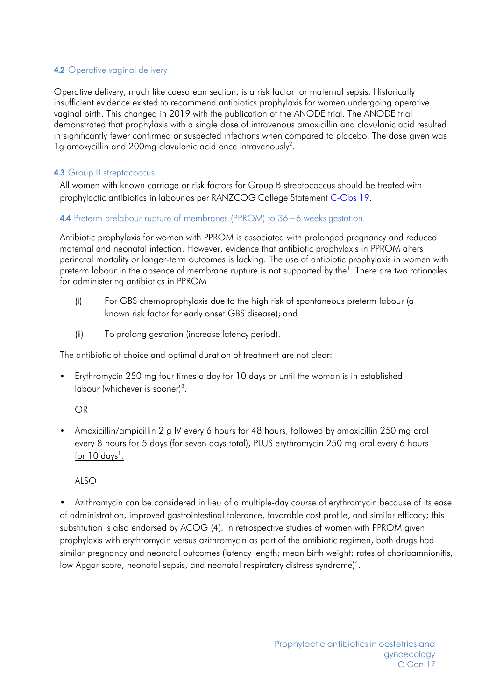## <span id="page-4-0"></span>**4.2** Operative vaginal delivery

Operative delivery, much like caesarean section, is a risk factor for maternal sepsis. Historically insufficient evidence existed to recommend antibiotics prophylaxis for women undergoing operative vaginal birth. This changed in 2019 with the publication of the ANODE trial. The ANODE trial demonstrated that prophylaxis with a single dose of intravenous amoxicillin and clavulanic acid resulted in significantly fewer confirmed or suspected infections when compared to placebo. The dose given was 1g amoxycillin and 200mg clavulanic acid once intravenously<sup>2</sup>.

## <span id="page-4-1"></span>**4.3** Group B streptococcus

All women with known carriage or risk factors for Group B streptococcus should be treated with prophylactic antibiotics in labour as per RANZCOG College Statement [C-Obs](https://ranzcog.edu.au/RANZCOG_SITE/media/RANZCOG-MEDIA/Women%27s%20Health/Statement%20and%20guidelines/Clinical-Obstetrics/Maternal-Group-B-Streptococcus-in-pregnancy-screening-and-management-(C-Obs-19).pdf?ext=.pdf) 19.

#### <span id="page-4-2"></span>**4.4** Preterm prelabour rupture of membranes (PPROM) to 36+6 weeks gestation

Antibiotic prophylaxis for women with PPROM is associated with prolonged pregnancy and reduced maternal and neonatal infection. However, evidence that antibiotic prophylaxis in PPROM alters perinatal mortality or longer-term outcomes is lacking. The use of antibiotic prophylaxis in women with preterm labour in the absence of membrane rupture is not supported by the<sup>1</sup>. There are two rationales for administering antibiotics in PPROM

- (i) For GBS chemoprophylaxis due to the high risk of spontaneous preterm labour (a known risk factor for early onset GBS disease); and
- (ii) To prolong gestation (increase latency period).

The antibiotic of choice and optimal duration of treatment are not clear:

• Erythromycin 250 mg four times a day for 10 days or until the woman is in established <u>labour (whichever is sooner)<sup>3</sup>.</u>

#### OR

• Amoxicillin/ampicillin 2 g IV every 6 hours for 48 hours, followed by amoxicillin 250 mg oral every 8 hours for 5 days (for seven days total), PLUS erythromycin 250 mg oral every 6 hours <u>for 10 days<sup>1</sup>.</u>

#### ALSO

• Azithromycin can be considered in lieu of a multiple-day course of erythromycin because of its ease of administration, improved gastrointestinal tolerance, favorable cost profile, and similar efficacy; this substitution is also endorsed by ACOG (4). In retrospective studies of women with PPROM given prophylaxis with erythromycin versus azithromycin as part of the antibiotic regimen, both drugs had similar pregnancy and neonatal outcomes (latency length; mean birth weight; rates of chorioamnionitis, low Apgar score, neonatal sepsis, and neonatal respiratory distress syndrome)<sup>4</sup>.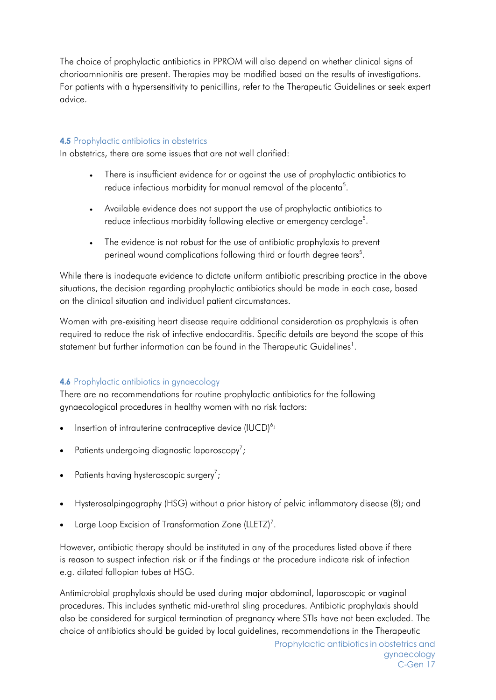The choice of prophylactic antibiotics in PPROM will also depend on whether clinical signs of chorioamnionitis are present. Therapies may be modified based on the results of investigations. For patients with a hypersensitivity to penicillins, refer to the Therapeutic Guidelines or seek expert advice.

## <span id="page-5-0"></span>**4.5** Prophylactic antibiotics in obstetrics

In obstetrics, there are some issues that are not well clarified:

- There is insufficient evidence for or against the use of prophylactic antibiotics to reduce infectious morbidity for manual removal of the placenta<sup>5</sup>.
- Available evidence does not support the use of prophylactic antibiotics to reduce infectious morbidity following elective or emergency cerclage<sup>5</sup>.
- The evidence is not robust for the use of antibiotic prophylaxis to prevent perineal wound complications following third or fourth degree tears<sup>5</sup>.

While there is inadequate evidence to dictate uniform antibiotic prescribing practice in the above situations, the decision regarding prophylactic antibiotics should be made in each case, based on the clinical situation and individual patient circumstances.

Women with pre-exisiting heart disease require additional consideration as prophylaxis is often required to reduce the risk of infective endocarditis. Specific details are beyond the scope of this statement but further information can be found in the Therapeutic Guidelines<sup>1</sup>.

## <span id="page-5-1"></span>**4.6** Prophylactic antibiotics in gynaecology

There are no recommendations for routine prophylactic antibiotics for the following gynaecological procedures in healthy women with no risk factors:

- Insertion of intrauterine contraceptive device  $(IUCD)^{6}$ ;
- Patients undergoing diagnostic laparoscopy<sup>7</sup>;
- Patients having hysteroscopic surgery<sup>7</sup>;
- Hysterosalpingography (HSG) without a prior history of pelvic inflammatory disease (8); and
- Large Loop Excision of Transformation Zone (LLETZ)<sup>7</sup>.

However, antibiotic therapy should be instituted in any of the procedures listed above if there is reason to suspect infection risk or if the findings at the procedure indicate risk of infection e.g. dilated fallopian tubes at HSG.

Antimicrobial prophylaxis should be used during major abdominal, laparoscopic or vaginal procedures. This includes synthetic mid-urethral sling procedures. Antibiotic prophylaxis should also be considered for surgical termination of pregnancy where STIs have not been excluded. The choice of antibiotics should be guided by local guidelines, recommendations in the Therapeutic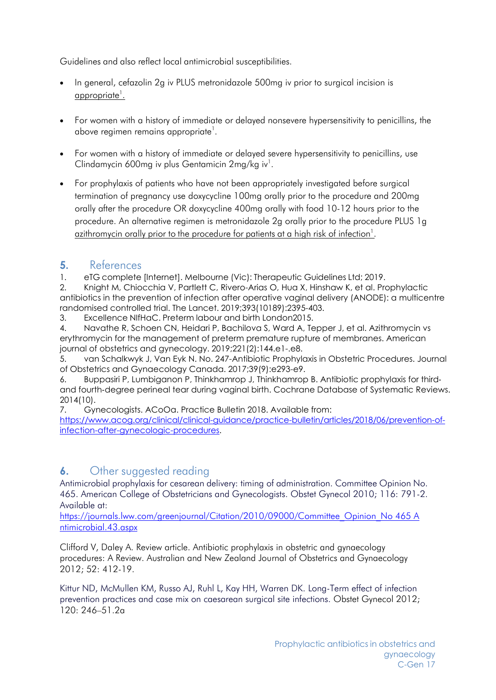Guidelines and also reflect local antimicrobial susceptibilities.

- In general, cefazolin 2g iv PLUS metronidazole 500mg iv prior to surgical incision is <u>appropriate<sup>1</sup>.</u>
- For women with a history of immediate or delayed nonsevere hypersensitivity to penicillins, the above regimen remains appropriate<sup>1</sup>.
- For women with a history of immediate or delayed severe hypersensitivity to penicillins, use Clindamycin 600mg iv plus Gentamicin  $2$ mg/kg iv<sup>1</sup>.
- For prophylaxis of patients who have not been appropriately investigated before surgical termination of pregnancy use doxycycline 100mg orally prior to the procedure and 200mg orally after the procedure OR doxycycline 400mg orally with food 10-12 hours prior to the procedure. An alternative regimen is metronidazole 2g orally prior to the procedure PLUS 1g <u>azithromycin orally prior to the procedure for patients at a high risk of infection<sup>1</sup>.</u>

# <span id="page-6-0"></span>**5.** References

1. eTG complete [Internet]. Melbourne (Vic): Therapeutic Guidelines Ltd; 2019.

2. Knight M, Chiocchia V, Partlett C, Rivero-Arias O, Hua X, Hinshaw K, et al. Prophylactic antibiotics in the prevention of infection after operative vaginal delivery (ANODE): a multicentre randomised controlled trial. The Lancet. 2019;393(10189):2395-403.

3. Excellence NIfHaC. Preterm labour and birth London2015.

4. Navathe R, Schoen CN, Heidari P, Bachilova S, Ward A, Tepper J, et al. Azithromycin vs erythromycin for the management of preterm premature rupture of membranes. American journal of obstetrics and gynecology. 2019;221(2):144.e1-.e8.

5. van Schalkwyk J, Van Eyk N. No. 247-Antibiotic Prophylaxis in Obstetric Procedures. Journal of Obstetrics and Gynaecology Canada. 2017;39(9):e293-e9.

6. Buppasiri P, Lumbiganon P, Thinkhamrop J, Thinkhamrop B. Antibiotic prophylaxis for third‐ and fourth-degree perineal tear during vaginal birth. Cochrane Database of Systematic Reviews. 2014(10).

7. Gynecologists. ACoOa. Practice Bulletin 2018. Available from:

[https://www.acog.org/clinical/clinical-guidance/practice-bulletin/articles/2018/06/prevention-of](https://www.acog.org/clinical/clinical-guidance/practice-bulletin/articles/2018/06/prevention-of-infection-after-gynecologic-procedures)[infection-after-gynecologic-procedures.](https://www.acog.org/clinical/clinical-guidance/practice-bulletin/articles/2018/06/prevention-of-infection-after-gynecologic-procedures)

# <span id="page-6-1"></span>**6.** Other suggested reading

Antimicrobial prophylaxis for cesarean delivery: timing of administration. Committee Opinion No. 465. American College of Obstetricians and Gynecologists. Obstet Gynecol 2010; 116: 791-2. Available at:

[https://journals.lww.com/greenjournal/Citation/2010/09000/Committee\\_Opinion\\_No 465 A](https://journals.lww.com/greenjournal/Citation/2010/09000/Committee_Opinion_No%20465%20A%20ntimicrobial.43.aspx) [ntimicrobial.43.aspx](https://journals.lww.com/greenjournal/Citation/2010/09000/Committee_Opinion_No%20465%20A%20ntimicrobial.43.aspx)

Clifford V, Daley A. Review article. Antibiotic prophylaxis in obstetric and gynaecology procedures: A Review. Australian and New Zealand Journal of Obstetrics and Gynaecology 2012; 52: 412-19.

Kittur ND, McMullen KM, Russo AJ, Ruhl L, Kay HH, Warren DK. Long-Term effect of infection prevention practices and case mix on caesarean surgical site infections. Obstet Gynecol 2012; 120: 246–51.2a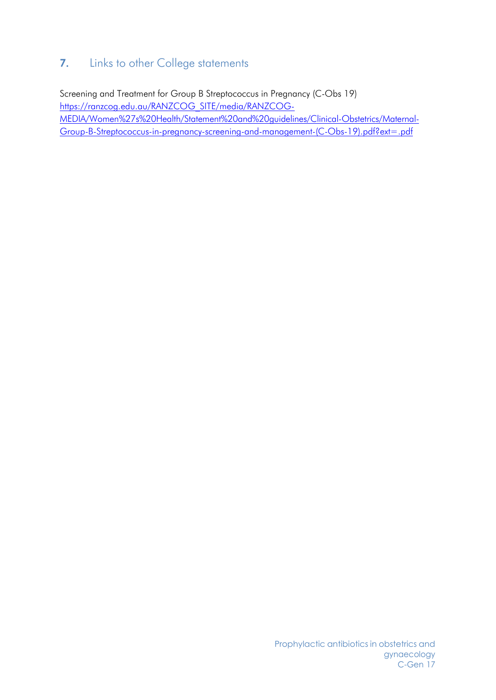# <span id="page-7-0"></span>**7.** Links to other College statements

Screening and Treatment for Group B Streptococcus in Pregnancy (C-Obs 19) https://ranzcog.edu.au/RANZCOG\_SITE/media/RANZCOG-MEDIA/Women%27s%20Health/Statement%20and%20guidelines/Clinical-Obstetrics/Maternal-Group-B-Streptococcus-in-pregnancy-screening-and-management-(C-Obs-19).pdf?ext=.pdf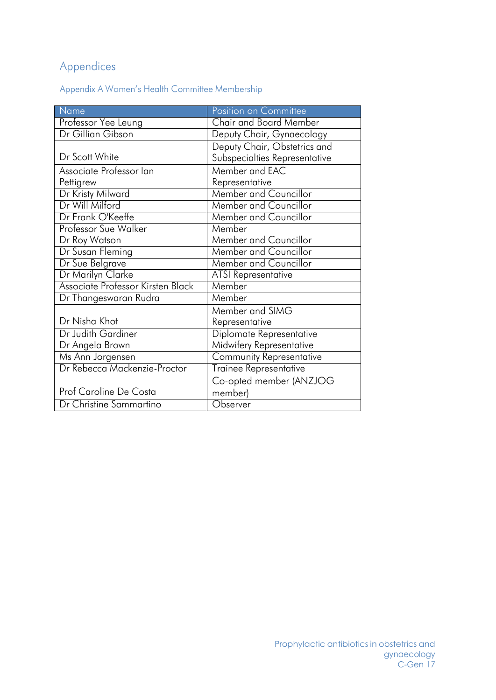# <span id="page-8-0"></span>Appendices

Appendix A Women's Health Committee Membership

| Name                              | Position on Committee           |
|-----------------------------------|---------------------------------|
| Professor Yee Leung               | <b>Chair and Board Member</b>   |
| Dr Gillian Gibson                 | Deputy Chair, Gynaecology       |
|                                   | Deputy Chair, Obstetrics and    |
| Dr Scott White                    | Subspecialties Representative   |
| Associate Professor lan           | Member and EAC                  |
| Pettigrew                         | Representative                  |
| Dr Kristy Milward                 | <b>Member and Councillor</b>    |
| Dr Will Milford                   | <b>Member and Councillor</b>    |
| Dr Frank O'Keeffe                 | Member and Councillor           |
| Professor Sue Walker              | Member                          |
| Dr Roy Watson                     | Member and Councillor           |
| Dr Susan Fleming                  | <b>Member and Councillor</b>    |
| Dr Sue Belgrave                   | <b>Member and Councillor</b>    |
| Dr Marilyn Clarke                 | <b>ATSI Representative</b>      |
| Associate Professor Kirsten Black | Member                          |
| Dr Thangeswaran Rudra             | Member                          |
|                                   | Member and SIMG                 |
| Dr Nisha Khot                     | Representative                  |
| Dr Judith Gardiner                | Diplomate Representative        |
| Dr Angela Brown                   | Midwifery Representative        |
| Ms Ann Jorgensen                  | <b>Community Representative</b> |
| Dr Rebecca Mackenzie-Proctor      | <b>Trainee Representative</b>   |
|                                   | Co-opted member (ANZJOG         |
| Prof Caroline De Costa            | member)                         |
| Dr Christine Sammartino           | Observer                        |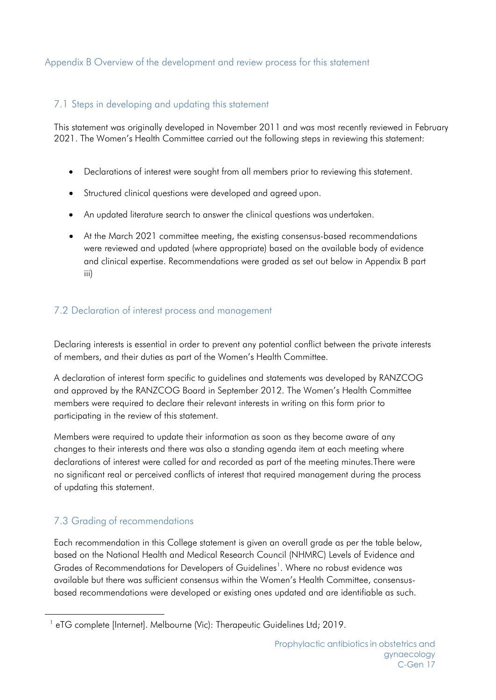## <span id="page-9-0"></span>Appendix B Overview of the development and review process for this statement

## 7.1 Steps in developing and updating this statement

This statement was originally developed in November 2011 and was most recently reviewed in February 2021. The Women's Health Committee carried out the following steps in reviewing this statement:

- Declarations of interest were sought from all members prior to reviewing this statement.
- Structured clinical questions were developed and agreed upon.
- An updated literature search to answer the clinical questions was undertaken.
- At the March 2021 committee meeting, the existing consensus-based recommendations were reviewed and updated (where appropriate) based on the available body of evidence and clinical expertise. Recommendations were graded as set out below in Appendix B part iii)

## 7.2 Declaration of interest process and management

Declaring interests is essential in order to prevent any potential conflict between the private interests of members, and their duties as part of the Women's Health Committee.

A declaration of interest form specific to guidelines and statements was developed by RANZCOG and approved by the RANZCOG Board in September 2012. The Women's Health Committee members were required to declare their relevant interests in writing on this form prior to participating in the review of this statement.

Members were required to update their information as soon as they become aware of any changes to their interests and there was also a standing agenda item at each meeting where declarations of interest were called for and recorded as part of the meeting minutes.There were no significant real or perceived conflicts of interest that required management during the process of updating this statement.

# 7.3 Grading of recommendations

Each recommendation in this College statement is given an overall grade as per the table below, based on the National Health and Medical Research Council (NHMRC) Levels of Evidence and Grades of Recommendations for Developers of Guidelines<sup>1</sup>. Where no robust evidence was available but there was sufficient consensus within the Women's Health Committee, consensusbased recommendations were developed or existing ones updated and are identifiable as such.

<span id="page-9-1"></span><sup>&</sup>lt;sup>1</sup> eTG complete [Internet]. Melbourne (Vic): Therapeutic Guidelines Ltd; 2019.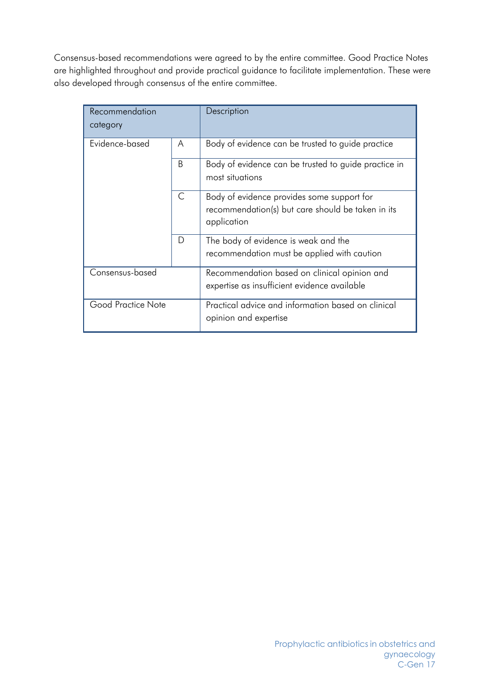Consensus-based recommendations were agreed to by the entire committee. Good Practice Notes are highlighted throughout and provide practical guidance to facilitate implementation. These were also developed through consensus of the entire committee.

| Recommendation<br>category |              | Description                                                                                                    |
|----------------------------|--------------|----------------------------------------------------------------------------------------------------------------|
| Evidence-based             | A            | Body of evidence can be trusted to guide practice                                                              |
|                            | <sub>R</sub> | Body of evidence can be trusted to guide practice in<br>most situations                                        |
|                            | $\mathsf{C}$ | Body of evidence provides some support for<br>recommendation(s) but care should be taken in its<br>application |
|                            | D            | The body of evidence is weak and the<br>recommendation must be applied with caution                            |
| Consensus-based            |              | Recommendation based on clinical opinion and<br>expertise as insufficient evidence available                   |
| Good Practice Note         |              | Practical advice and information based on clinical<br>opinion and expertise                                    |